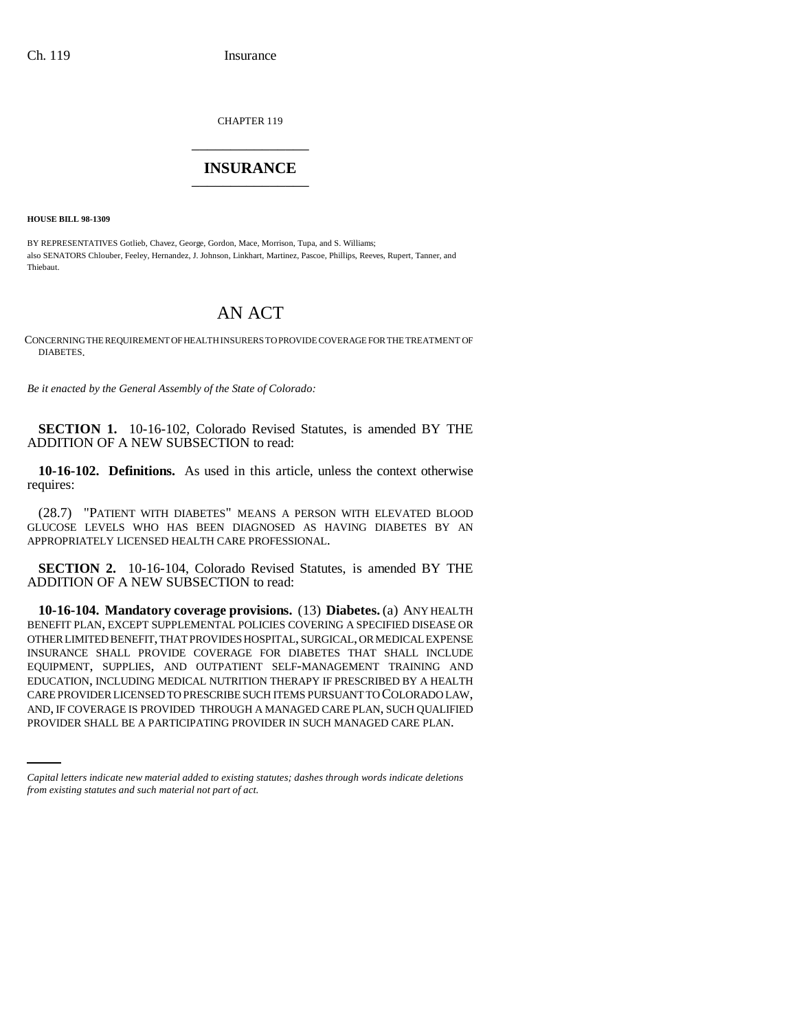CHAPTER 119 \_\_\_\_\_\_\_\_\_\_\_\_\_\_\_

## **INSURANCE** \_\_\_\_\_\_\_\_\_\_\_\_\_\_\_

**HOUSE BILL 98-1309**

BY REPRESENTATIVES Gotlieb, Chavez, George, Gordon, Mace, Morrison, Tupa, and S. Williams; also SENATORS Chlouber, Feeley, Hernandez, J. Johnson, Linkhart, Martinez, Pascoe, Phillips, Reeves, Rupert, Tanner, and Thiebaut.

## AN ACT

CONCERNING THE REQUIREMENT OF HEALTH INSURERS TO PROVIDE COVERAGE FOR THE TREATMENT OF DIABETES.

*Be it enacted by the General Assembly of the State of Colorado:*

**SECTION 1.** 10-16-102, Colorado Revised Statutes, is amended BY THE ADDITION OF A NEW SUBSECTION to read:

**10-16-102. Definitions.** As used in this article, unless the context otherwise requires:

(28.7) "PATIENT WITH DIABETES" MEANS A PERSON WITH ELEVATED BLOOD GLUCOSE LEVELS WHO HAS BEEN DIAGNOSED AS HAVING DIABETES BY AN APPROPRIATELY LICENSED HEALTH CARE PROFESSIONAL.

**SECTION 2.** 10-16-104, Colorado Revised Statutes, is amended BY THE ADDITION OF A NEW SUBSECTION to read:

CARE PROVIDER LICENSED TO PRESCRIBE SUCH ITEMS PURSUANT TO COLORADO LAW, **10-16-104. Mandatory coverage provisions.** (13) **Diabetes.** (a) ANY HEALTH BENEFIT PLAN, EXCEPT SUPPLEMENTAL POLICIES COVERING A SPECIFIED DISEASE OR OTHER LIMITED BENEFIT, THAT PROVIDES HOSPITAL, SURGICAL, OR MEDICAL EXPENSE INSURANCE SHALL PROVIDE COVERAGE FOR DIABETES THAT SHALL INCLUDE EQUIPMENT, SUPPLIES, AND OUTPATIENT SELF-MANAGEMENT TRAINING AND EDUCATION, INCLUDING MEDICAL NUTRITION THERAPY IF PRESCRIBED BY A HEALTH AND, IF COVERAGE IS PROVIDED THROUGH A MANAGED CARE PLAN, SUCH QUALIFIED PROVIDER SHALL BE A PARTICIPATING PROVIDER IN SUCH MANAGED CARE PLAN.

*Capital letters indicate new material added to existing statutes; dashes through words indicate deletions from existing statutes and such material not part of act.*